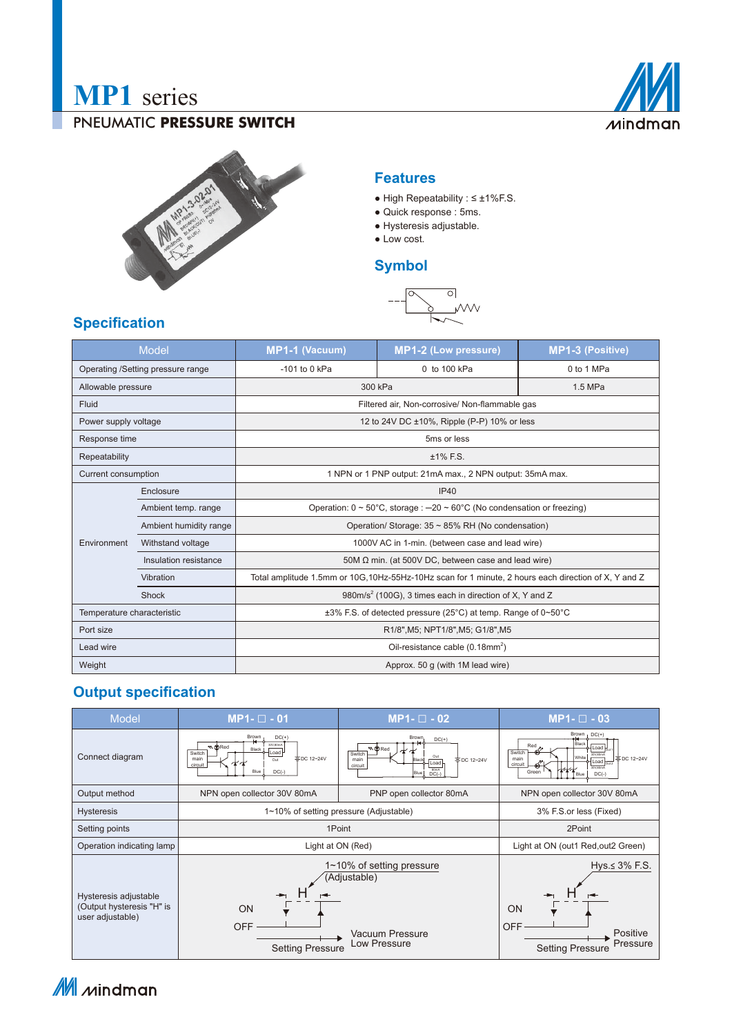# **MP1** series

#### PNEUMATIC **PRESSURE SWITCH**





#### **Features**

- High Repeatability : ≤ ±1%F.S.
- Quick response : 5ms.
- Hysteresis adjustable.
- Low cost.

## **Symbol**



## **Specification**

| <b>Model</b>                      |                        | MP1-1 (Vacuum)                                                                                       | <b>MP1-2 (Low pressure)</b> | <b>MP1-3 (Positive)</b> |
|-----------------------------------|------------------------|------------------------------------------------------------------------------------------------------|-----------------------------|-------------------------|
| Operating /Setting pressure range |                        | $-101$ to 0 kPa                                                                                      | 0 to 100 kPa                | 0 to 1 MPa              |
| Allowable pressure                |                        | 300 kPa                                                                                              |                             | 1.5 MPa                 |
| Fluid                             |                        | Filtered air, Non-corrosive/ Non-flammable gas                                                       |                             |                         |
| Power supply voltage              |                        | 12 to 24V DC ±10%, Ripple (P-P) 10% or less                                                          |                             |                         |
| Response time                     |                        | 5ms or less                                                                                          |                             |                         |
| Repeatability                     |                        | $±1\%$ F.S.                                                                                          |                             |                         |
| Current consumption               |                        | 1 NPN or 1 PNP output: 21mA max., 2 NPN output: 35mA max.                                            |                             |                         |
| Environment                       | Enclosure              | IP40                                                                                                 |                             |                         |
|                                   | Ambient temp. range    | Operation: $0 \sim 50^{\circ}$ C, storage : -20 ~ 60°C (No condensation or freezing)                 |                             |                         |
|                                   | Ambient humidity range | Operation/ Storage: $35 \sim 85\%$ RH (No condensation)                                              |                             |                         |
|                                   | Withstand voltage      | 1000V AC in 1-min. (between case and lead wire)                                                      |                             |                         |
|                                   | Insulation resistance  | 50M $\Omega$ min. (at 500V DC, between case and lead wire)                                           |                             |                         |
|                                   | Vibration              | Total amplitude 1.5mm or 10G, 10Hz-55Hz-10Hz scan for 1 minute, 2 hours each direction of X, Y and Z |                             |                         |
|                                   | Shock                  | 980m/s <sup>2</sup> (100G), 3 times each in direction of X, Y and Z                                  |                             |                         |
| Temperature characteristic        |                        | ±3% F.S. of detected pressure (25°C) at temp. Range of 0~50°C                                        |                             |                         |
| Port size                         |                        | R1/8", M5; NPT1/8", M5; G1/8", M5                                                                    |                             |                         |
| Lead wire                         |                        | Oil-resistance cable (0.18mm <sup>2</sup> )                                                          |                             |                         |
| Weight                            |                        | Approx. 50 q (with 1M lead wire)                                                                     |                             |                         |

## **Output specification**